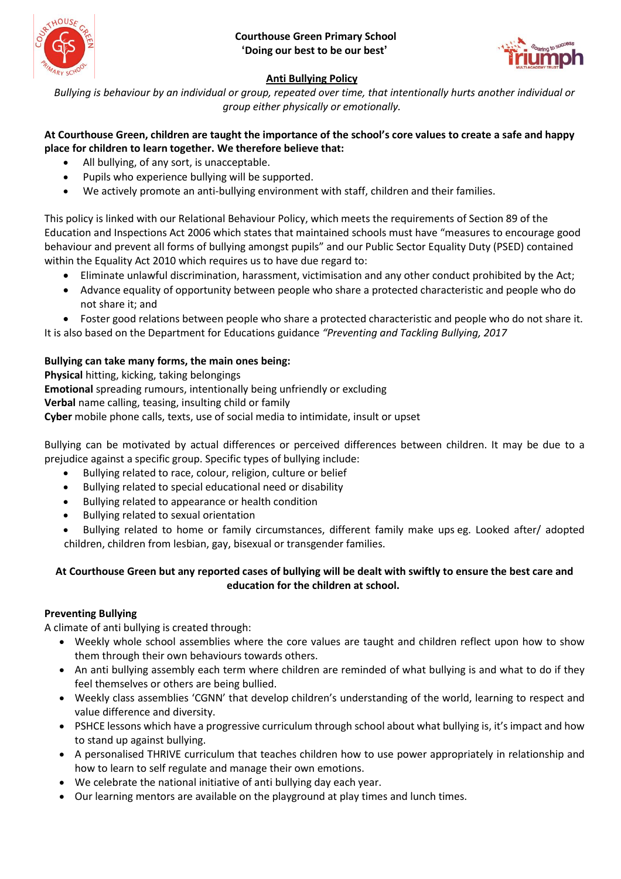



# **Anti Bullying Policy**

Bullying is behaviour by an individual or group, repeated over time, that intentionally hurts another individual or *group either physically or emotionally.*

### At Courthouse Green, children are taught the importance of the school's core values to create a safe and happy **place for children to learn together. We therefore believe that:**

- All bullying, of any sort, is unacceptable.
- Pupils who experience bullying will be supported.
- We actively promote an anti-bullying environment with staff, children and their families.

This policy is linked with our Relational Behaviour Policy, which meets the requirements of Section 89 of the Education and Inspections Act 2006 which states that maintained schools must have "measures to encourage good behaviour and prevent all forms of bullying amongst pupils" and our Public Sector Equality Duty (PSED) contained within the Equality Act 2010 which requires us to have due regard to:

- Eliminate unlawful discrimination, harassment, victimisation and any other conduct prohibited by the Act;
- Advance equality of opportunity between people who share a protected characteristic and people who do not share it; and

• Foster good relations between people who share a protected characteristic and people who do not share it.

It is also based on the Department for Educations guidance *"Preventing and Tackling Bullying, 2017*

### **Bullying can take many forms, the main ones being:**

**Physical** hitting, kicking, taking belongings **Emotional** spreading rumours, intentionally being unfriendly or excluding **Verbal** name calling, teasing, insulting child or family **Cyber** mobile phone calls, texts, use of social media to intimidate, insult or upset

Bullying can be motivated by actual differences or perceived differences between children. It may be due to a prejudice against a specific group. Specific types of bullying include:

- Bullying related to race, colour, religion, culture or belief
- Bullying related to special educational need or disability
- Bullying related to appearance or health condition
- Bullying related to sexual orientation
- Bullying related to home or family circumstances, different family make ups eg. Looked after/ adopted children, children from lesbian, gay, bisexual or transgender families.

## At Courthouse Green but any reported cases of bullying will be dealt with swiftly to ensure the best care and **education for the children at school.**

### **Preventing Bullying**

A climate of anti bullying is created through:

- Weekly whole school assemblies where the core values are taught and children reflect upon how to show them through their own behaviours towards others.
- An anti bullying assembly each term where children are reminded of what bullying is and what to do if they feel themselves or others are being bullied.
- Weekly class assemblies 'CGNN' that develop children's understanding of the world, learning to respect and value difference and diversity.
- PSHCE lessons which have a progressive curriculum through school about what bullying is, it's impact and how to stand up against bullying.
- A personalised THRIVE curriculum that teaches children how to use power appropriately in relationship and how to learn to self regulate and manage their own emotions.
- We celebrate the national initiative of anti bullying day each year.
- Our learning mentors are available on the playground at play times and lunch times.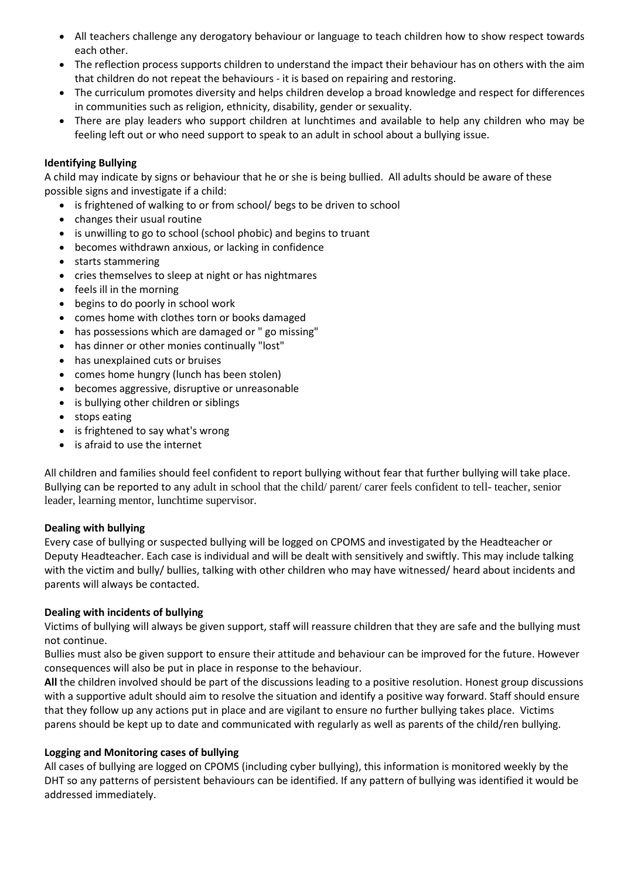- All teachers challenge any derogatory behaviour or language to teach children how to show respect towards each other.
- The reflection process supports children to understand the impact their behaviour has on others with the aim that children do not repeat the behaviours - it is based on repairing and restoring.
- The curriculum promotes diversity and helps children develop a broad knowledge and respect for differences in communities such as religion, ethnicity, disability, gender or sexuality.
- There are play leaders who support children at lunchtimes and available to help any children who may be feeling left out or who need support to speak to an adult in school about a bullying issue.

#### **Identifying Bullying**

A child may indicate by signs or behaviour that he or she is being bullied. All adults should be aware of these possible signs and investigate if a child:

- is frightened of walking to or from school/ begs to be driven to school
- changes their usual routine
- is unwilling to go to school (school phobic) and begins to truant
- becomes withdrawn anxious, or lacking in confidence
- starts stammering
- cries themselves to sleep at night or has nightmares
- feels ill in the morning
- begins to do poorly in school work
- comes home with clothes torn or books damaged
- has possessions which are damaged or " go missing"
- has dinner or other monies continually "lost"
- has unexplained cuts or bruises
- comes home hungry (lunch has been stolen)
- becomes aggressive, disruptive or unreasonable
- is bullying other children or siblings
- stops eating
- is frightened to say what's wrong
- is afraid to use the internet

All children and families should feel confident to report bullying without fear that further bullying will take place. Bullying can be reported to any adult in school that the child/ parent/ carer feels confident to tell- teacher, senior leader, learning mentor, lunchtime supervisor.

### **Dealing with bullying**

Every case of bullying or suspected bullying will be logged on CPOMS and investigated by the Headteacher or Deputy Headteacher. Each case is individual and will be dealt with sensitively and swiftly. This may include talking with the victim and bully/ bullies, talking with other children who may have witnessed/ heard about incidents and parents will always be contacted.

#### **Dealing with incidents of bullying**

Victims of bullying will always be given support, staff will reassure children that they are safe and the bullying must not continue.

Bullies must also be given support to ensure their attitude and behaviour can be improved for the future. However consequences will also be put in place in response to the behaviour.

**All** the children involved should be part of the discussions leading to a positive resolution. Honest group discussions with a supportive adult should aim to resolve the situation and identify a positive way forward. Staff should ensure that they follow up any actions put in place and are vigilant to ensure no further bullying takes place. Victims parens should be kept up to date and communicated with regularly as well as parents of the child/ren bullying.

#### **Logging and Monitoring cases of bullying**

All cases of bullying are logged on CPOMS (including cyber bullying), this information is monitored weekly by the DHT so any patterns of persistent behaviours can be identified. If any pattern of bullying was identified it would be addressed immediately.